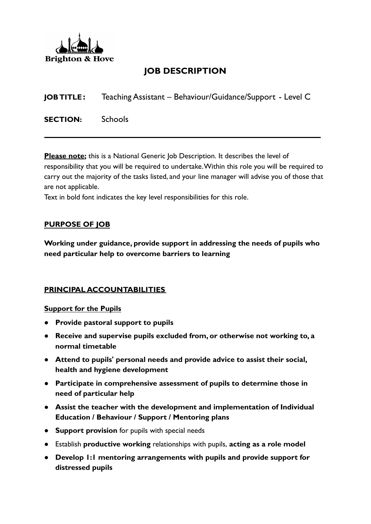

# **JOB DESCRIPTION**

**JOB TITLE:** Teaching Assistant – Behaviour/Guidance/Support - Level C

**SECTION:** Schools

**Please note;** this is a National Generic Job Description. It describes the level of responsibility that you will be required to undertake.Within this role you will be required to carry out the majority of the tasks listed, and your line manager will advise you of those that are not applicable.

Text in bold font indicates the key level responsibilities for this role.

### **PURPOSE OF JOB**

**Working under guidance, provide support in addressing the needs of pupils who need particular help to overcome barriers to learning**

### **PRINCIPAL ACCOUNTABILITIES**

### **Support for the Pupils**

- **Provide pastoral support to pupils**
- **Receive and supervise pupils excluded from, or otherwise not working to, a normal timetable**
- **Attend to pupils' personal needs and provide advice to assist their social, health and hygiene development**
- **Participate in comprehensive assessment of pupils to determine those in need of particular help**
- **Assist the teacher with the development and implementation of Individual Education / Behaviour / Support / Mentoring plans**
- **Support provision** for pupils with special needs
- Establish **productive working** relationships with pupils, **acting as a role model**
- **Develop 1:1 mentoring arrangements with pupils and provide support for distressed pupils**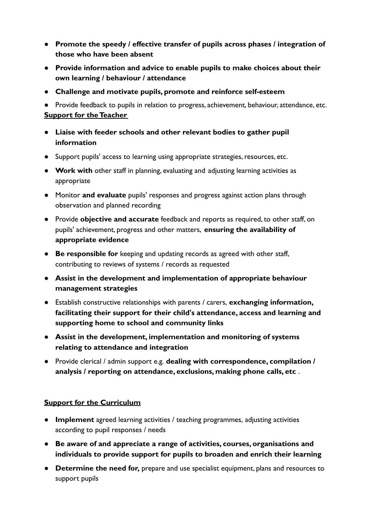- **Promote the speedy / effective transfer of pupils across phases / integration of those who have been absent**
- **Provide information and advice to enable pupils to make choices about their own learning / behaviour / attendance**
- **Challenge and motivate pupils, promote and reinforce self-esteem**

● Provide feedback to pupils in relation to progress, achievement, behaviour, attendance, etc. **Support for the Teacher**

- **Liaise with feeder schools and other relevant bodies to gather pupil information**
- Support pupils' access to learning using appropriate strategies, resources, etc.
- **Work with** other staff in planning, evaluating and adjusting learning activities as appropriate
- Monitor **and evaluate** pupils' responses and progress against action plans through observation and planned recording
- Provide **objective and accurate** feedback and reports as required, to other staff, on pupils' achievement, progress and other matters, **ensuring the availability of appropriate evidence**
- **Be responsible for** keeping and updating records as agreed with other staff, contributing to reviews of systems / records as requested
- **Assist in the development and implementation of appropriate behaviour management strategies**
- Establish constructive relationships with parents / carers, **exchanging information, facilitating their support for their child's attendance, access and learning and supporting home to school and community links**
- **Assist in the development, implementation and monitoring of systems relating to attendance and integration**
- Provide clerical / admin support e.g. **dealing with correspondence, compilation / analysis / reporting on attendance, exclusions, making phone calls, etc** .

### **Support for the Curriculum**

- **Implement** agreed learning activities / teaching programmes, adjusting activities according to pupil responses / needs
- **Be aware of and appreciate a range of activities, courses, organisations and individuals to provide support for pupils to broaden and enrich their learning**
- **Determine the need for,** prepare and use specialist equipment, plans and resources to support pupils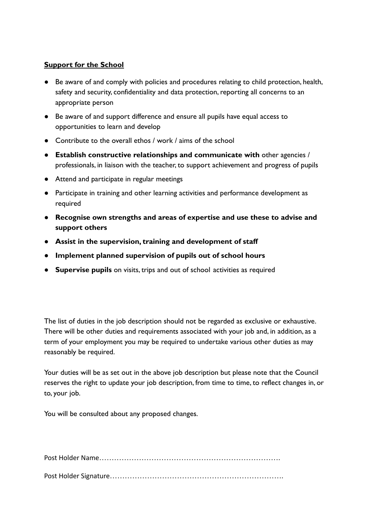### **Support for the School**

- Be aware of and comply with policies and procedures relating to child protection, health, safety and security, confidentiality and data protection, reporting all concerns to an appropriate person
- Be aware of and support difference and ensure all pupils have equal access to opportunities to learn and develop
- Contribute to the overall ethos / work / aims of the school
- **Establish constructive relationships and communicate with** other agencies / professionals, in liaison with the teacher, to support achievement and progress of pupils
- Attend and participate in regular meetings
- Participate in training and other learning activities and performance development as required
- **Recognise own strengths and areas of expertise and use these to advise and support others**
- **Assist in the supervision, training and development of staff**
- **Implement planned supervision of pupils out of school hours**
- **Supervise pupils** on visits, trips and out of school activities as required

The list of duties in the job description should not be regarded as exclusive or exhaustive. There will be other duties and requirements associated with your job and, in addition, as a term of your employment you may be required to undertake various other duties as may reasonably be required.

Your duties will be as set out in the above job description but please note that the Council reserves the right to update your job description, from time to time, to reflect changes in, or to, your job.

You will be consulted about any proposed changes.

Post Holder Name……………………………………………………………….

Post Holder Signature…………………………………………………………….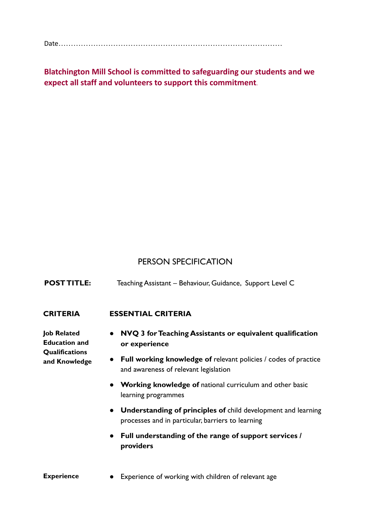Date………………………………………………………………………………

**Blatchington Mill School is committed to safeguarding our students and we expect all staff and volunteers to support this commitment**.

## PERSON SPECIFICATION

| <b>POST TITLE:</b> | Teaching Assistant - Behaviour, Guidance, Support Level C |  |
|--------------------|-----------------------------------------------------------|--|
|                    |                                                           |  |

#### **CRITERIA ESSENTIAL CRITERIA**

**Job Related Education and Qualifications and Knowledge**

- **NVQ 3 for Teaching Assistants or equivalent qualification or experience**
- **Full working knowledge of** relevant policies / codes of practice and awareness of relevant legislation
- **Working knowledge of** national curriculum and other basic learning programmes
- **Understanding of principles of** child development and learning processes and in particular, barriers to learning
- **Full understanding of the range of support services / providers**

#### **Experience** • Experience of working with children of relevant age